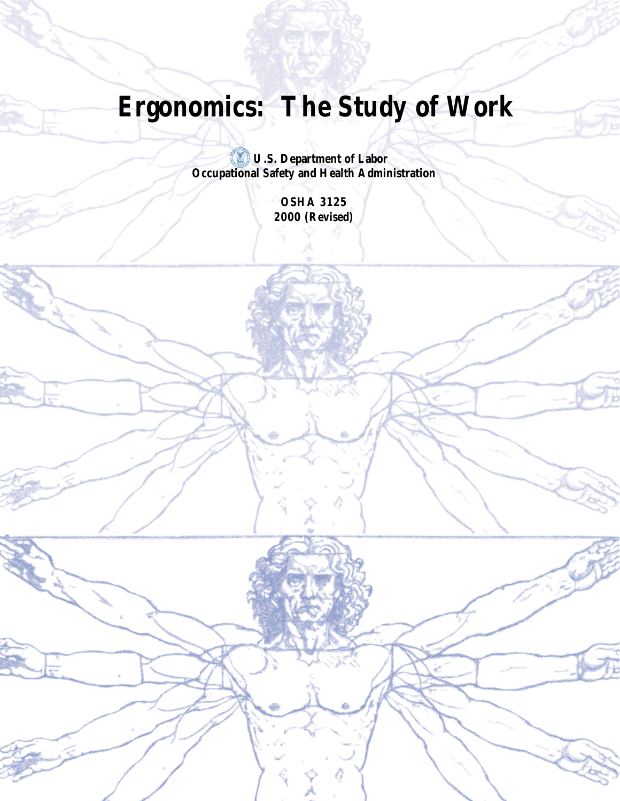# **Ergonomics: The Study of Work**

**U.S. Department of Labor Occupational Safety and Health Administration**

> **OSHA 3125 2000 (Revised)**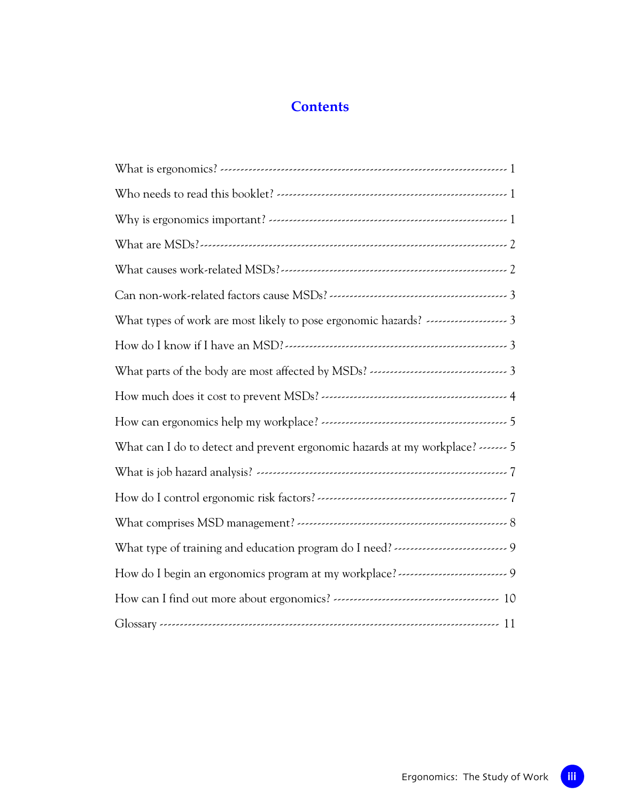# **Contents**

| How do I know if I have an MSD?                                           |
|---------------------------------------------------------------------------|
|                                                                           |
|                                                                           |
|                                                                           |
| What can I do to detect and prevent ergonomic hazards at my workplace?  5 |
|                                                                           |
|                                                                           |
|                                                                           |
|                                                                           |
|                                                                           |
|                                                                           |
|                                                                           |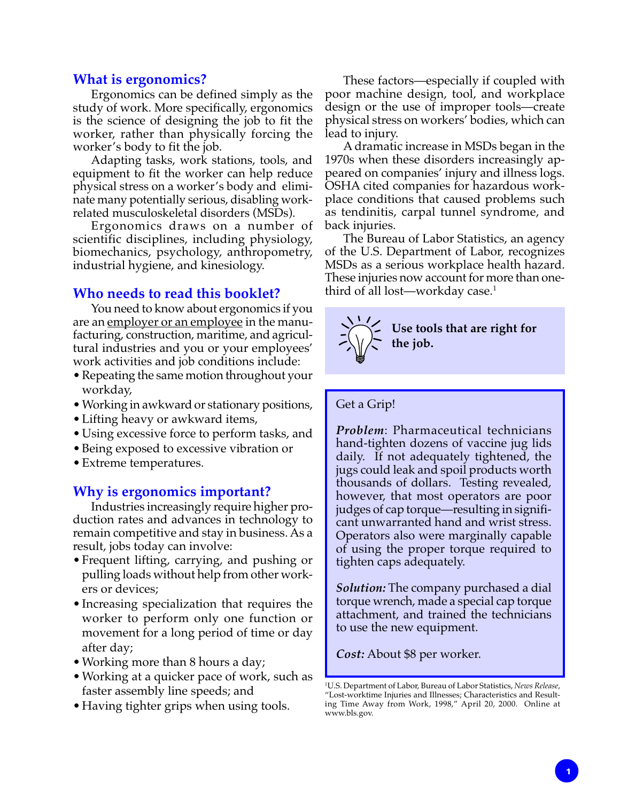#### **What is ergonomics?**

Ergonomics can be defined simply as the study of work. More specifically, ergonomics is the science of designing the job to fit the worker, rather than physically forcing the worker's body to fit the job.

Adapting tasks, work stations, tools, and equipment to fit the worker can help reduce physical stress on a worker's body and eliminate many potentially serious, disabling workrelated musculoskeletal disorders (MSDs).

Ergonomics draws on a number of scientific disciplines, including physiology, biomechanics, psychology, anthropometry, industrial hygiene, and kinesiology.

# **Who needs to read this booklet?**

You need to know about ergonomics if you are an <u>employer or an employee</u> in the manufacturing, construction, maritime, and agricultural industries and you or your employees' work activities and job conditions include:

- Repeating the same motion throughout your workday,
- Working in awkward or stationary positions,
- Lifting heavy or awkward items,
- Using excessive force to perform tasks, and
- Being exposed to excessive vibration or
- Extreme temperatures.

#### **Why is ergonomics important?**

Industries increasingly require higher production rates and advances in technology to remain competitive and stay in business. As a result, jobs today can involve:

- Frequent lifting, carrying, and pushing or pulling loads without help from other workers or devices;
- Increasing specialization that requires the worker to perform only one function or movement for a long period of time or day after day;
- Working more than 8 hours a day;
- Working at a quicker pace of work, such as faster assembly line speeds; and
- Having tighter grips when using tools.

These factors—especially if coupled with poor machine design, tool, and workplace design or the use of improper tools—create physical stress on workers' bodies, which can lead to injury.

A dramatic increase in MSDs began in the 1970s when these disorders increasingly appeared on companies' injury and illness logs. OSHA cited companies for hazardous workplace conditions that caused problems such as tendinitis, carpal tunnel syndrome, and back injuries.

The Bureau of Labor Statistics, an agency of the U.S. Department of Labor, recognizes MSDs as a serious workplace health hazard. These injuries now account for more than onethird of all lost—workday case.<sup>1</sup>



#### Get a Grip!

*Problem*: Pharmaceutical technicians hand-tighten dozens of vaccine jug lids daily. If not adequately tightened, the jugs could leak and spoil products worth thousands of dollars. Testing revealed, however, that most operators are poor judges of cap torque—resulting in significant unwarranted hand and wrist stress. Operators also were marginally capable of using the proper torque required to tighten caps adequately.

*Solution:* The company purchased a dial torque wrench, made a special cap torque attachment, and trained the technicians to use the new equipment.

*Cost:* About \$8 per worker.

<sup>1</sup> U.S. Department of Labor, Bureau of Labor Statistics, *News Release*, "Lost-worktime Injuries and Illnesses; Characteristics and Resulting Time Away from Work, 1998," April 20, 2000. Online at www.bls.gov.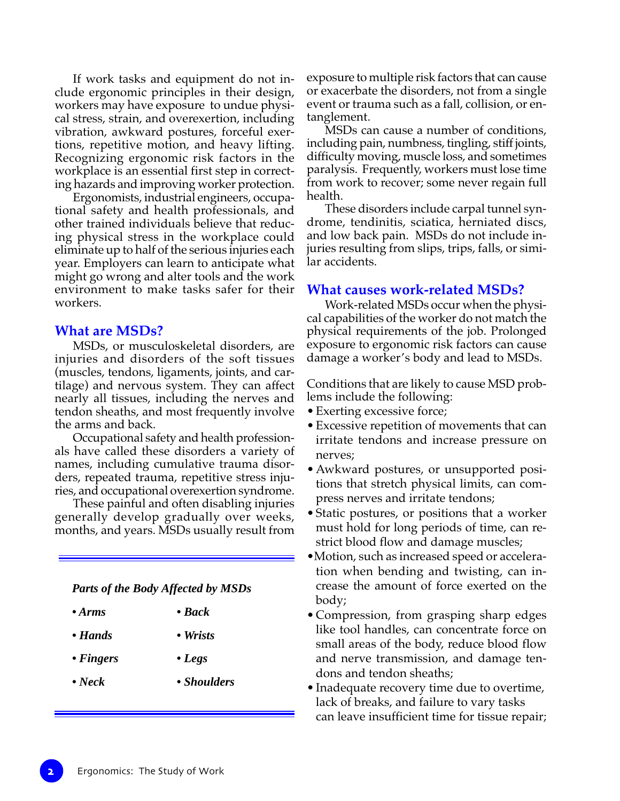If work tasks and equipment do not include ergonomic principles in their design, workers may have exposure to undue physical stress, strain, and overexertion, including vibration, awkward postures, forceful exertions, repetitive motion, and heavy lifting. Recognizing ergonomic risk factors in the workplace is an essential first step in correcting hazards and improving worker protection.

Ergonomists, industrial engineers, occupational safety and health professionals, and other trained individuals believe that reducing physical stress in the workplace could eliminate up to half of the serious injuries each year. Employers can learn to anticipate what might go wrong and alter tools and the work environment to make tasks safer for their workers.

#### **What are MSDs?**

MSDs, or musculoskeletal disorders, are injuries and disorders of the soft tissues (muscles, tendons, ligaments, joints, and cartilage) and nervous system. They can affect nearly all tissues, including the nerves and tendon sheaths, and most frequently involve the arms and back.

Occupational safety and health professionals have called these disorders a variety of names, including cumulative trauma disorders, repeated trauma, repetitive stress injuries, and occupational overexertion syndrome.

These painful and often disabling injuries generally develop gradually over weeks, months, and years. MSDs usually result from

*Parts of the Body Affected by MSDs*

- *Arms Back*
- *Hands Wrists*
- 
- *Fingers Legs*
- *Neck Shoulders*

exposure to multiple risk factors that can cause or exacerbate the disorders, not from a single event or trauma such as a fall, collision, or entanglement.

MSDs can cause a number of conditions, including pain, numbness, tingling, stiff joints, difficulty moving, muscle loss, and sometimes paralysis. Frequently, workers must lose time from work to recover; some never regain full health.

These disorders include carpal tunnel syndrome, tendinitis, sciatica, herniated discs, and low back pain. MSDs do not include injuries resulting from slips, trips, falls, or similar accidents.

#### **What causes work-related MSDs?**

Work-related MSDs occur when the physical capabilities of the worker do not match the physical requirements of the job. Prolonged exposure to ergonomic risk factors can cause damage a worker's body and lead to MSDs.

Conditions that are likely to cause MSD problems include the following:

- Exerting excessive force;
- Excessive repetition of movements that can irritate tendons and increase pressure on nerves;
- Awkward postures, or unsupported positions that stretch physical limits, can compress nerves and irritate tendons;
- Static postures, or positions that a worker must hold for long periods of time, can restrict blood flow and damage muscles;
- •Motion, such as increased speed or acceleration when bending and twisting, can increase the amount of force exerted on the body;
- Compression, from grasping sharp edges like tool handles, can concentrate force on small areas of the body, reduce blood flow and nerve transmission, and damage tendons and tendon sheaths;
- Inadequate recovery time due to overtime, lack of breaks, and failure to vary tasks can leave insufficient time for tissue repair;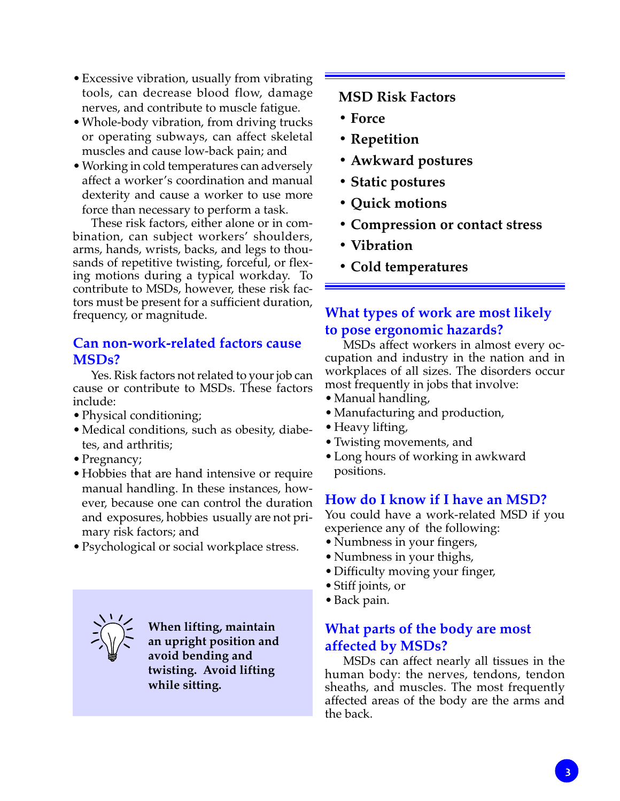- Excessive vibration, usually from vibrating tools, can decrease blood flow, damage nerves, and contribute to muscle fatigue.
- Whole-body vibration, from driving trucks or operating subways, can affect skeletal muscles and cause low-back pain; and
- Working in cold temperatures can adversely affect a worker's coordination and manual dexterity and cause a worker to use more force than necessary to perform a task.

These risk factors, either alone or in combination, can subject workers' shoulders, arms, hands, wrists, backs, and legs to thousands of repetitive twisting, forceful, or flexing motions during a typical workday. To contribute to MSDs, however, these risk factors must be present for a sufficient duration, frequency, or magnitude.

# **Can non-work-related factors cause MSDs?**

Yes. Risk factors not related to your job can cause or contribute to MSDs. These factors include:

- Physical conditioning;
- Medical conditions, such as obesity, diabetes, and arthritis;
- Pregnancy;
- Hobbies that are hand intensive or require manual handling. In these instances, however, because one can control the duration and exposures, hobbies usually are not primary risk factors; and
- Psychological or social workplace stress.



**When lifting, maintain an upright position and avoid bending and twisting. Avoid lifting while sitting.**

# **MSD Risk Factors**

- **Force**
- **Repetition**
- **Awkward postures**
- **Static postures**
- **Quick motions**
- **Compression or contact stress**
- **Vibration**
- **Cold temperatures**

# **What types of work are most likely to pose ergonomic hazards?**

MSDs affect workers in almost every occupation and industry in the nation and in workplaces of all sizes. The disorders occur most frequently in jobs that involve:

- Manual handling,
- Manufacturing and production,
- Heavy lifting,
- Twisting movements, and
- Long hours of working in awkward positions.

# **How do I know if I have an MSD?**

You could have a work-related MSD if you experience any of the following:

- Numbness in your fingers,
- Numbness in your thighs,
- Difficulty moving your finger,
- Stiff joints, or
- Back pain.

# **What parts of the body are most affected by MSDs?**

MSDs can affect nearly all tissues in the human body: the nerves, tendons, tendon sheaths, and muscles. The most frequently affected areas of the body are the arms and the back.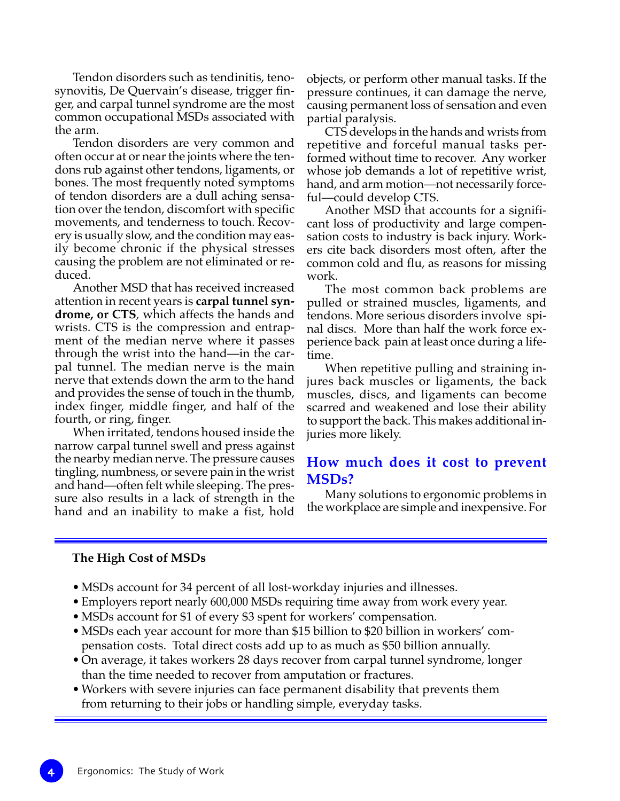Tendon disorders such as tendinitis, tenosynovitis, De Quervain's disease, trigger finger, and carpal tunnel syndrome are the most common occupational MSDs associated with the arm.

Tendon disorders are very common and often occur at or near the joints where the tendons rub against other tendons, ligaments, or bones. The most frequently noted symptoms of tendon disorders are a dull aching sensation over the tendon, discomfort with specific movements, and tenderness to touch. Recovery is usually slow, and the condition may easily become chronic if the physical stresses causing the problem are not eliminated or reduced.

Another MSD that has received increased attention in recent years is **carpal tunnel syndrome, or CTS***,* which affects the hands and wrists. CTS is the compression and entrapment of the median nerve where it passes through the wrist into the hand—in the carpal tunnel. The median nerve is the main nerve that extends down the arm to the hand and provides the sense of touch in the thumb, index finger, middle finger, and half of the fourth, or ring, finger.

When irritated, tendons housed inside the narrow carpal tunnel swell and press against the nearby median nerve. The pressure causes tingling, numbness, or severe pain in the wrist and hand—often felt while sleeping. The pressure also results in a lack of strength in the hand and an inability to make a fist, hold

objects, or perform other manual tasks. If the pressure continues, it can damage the nerve, causing permanent loss of sensation and even partial paralysis.

CTS develops in the hands and wrists from repetitive and forceful manual tasks performed without time to recover. Any worker whose job demands a lot of repetitive wrist, hand, and arm motion—not necessarily forceful—could develop CTS.

Another MSD that accounts for a significant loss of productivity and large compensation costs to industry is back injury. Workers cite back disorders most often, after the common cold and flu, as reasons for missing work.

The most common back problems are pulled or strained muscles, ligaments, and tendons. More serious disorders involve spinal discs. More than half the work force experience back pain at least once during a lifetime.

When repetitive pulling and straining injures back muscles or ligaments, the back muscles, discs, and ligaments can become scarred and weakened and lose their ability to support the back. This makes additional injuries more likely.

## **How much does it cost to prevent MSDs?**

Many solutions to ergonomic problems in the workplace are simple and inexpensive. For

#### **The High Cost of MSDs**

- MSDs account for 34 percent of all lost-workday injuries and illnesses.
- •Employers report nearly 600,000 MSDs requiring time away from work every year.
- MSDs account for \$1 of every \$3 spent for workers' compensation.
- MSDs each year account for more than \$15 billion to \$20 billion in workers' compensation costs. Total direct costs add up to as much as \$50 billion annually.
- On average, it takes workers 28 days recover from carpal tunnel syndrome, longer than the time needed to recover from amputation or fractures.
- Workers with severe injuries can face permanent disability that prevents them from returning to their jobs or handling simple, everyday tasks.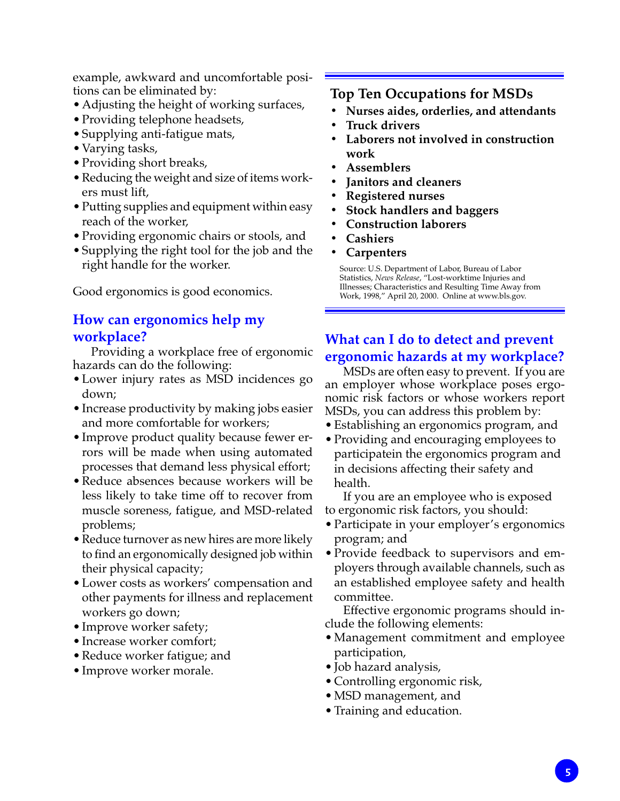example, awkward and uncomfortable positions can be eliminated by:

- Adjusting the height of working surfaces,
- Providing telephone headsets,
- Supplying anti-fatigue mats,
- Varying tasks,
- Providing short breaks,
- Reducing the weight and size of items workers must lift,
- Putting supplies and equipment within easy reach of the worker,
- Providing ergonomic chairs or stools, and
- Supplying the right tool for the job and the right handle for the worker.

Good ergonomics is good economics.

# **How can ergonomics help my workplace?**

Providing a workplace free of ergonomic hazards can do the following:

- Lower injury rates as MSD incidences go down;
- Increase productivity by making jobs easier and more comfortable for workers;
- Improve product quality because fewer errors will be made when using automated processes that demand less physical effort;
- Reduce absences because workers will be less likely to take time off to recover from muscle soreness, fatigue, and MSD-related problems;
- •Reduce turnover as new hires are more likely to find an ergonomically designed job within their physical capacity;
- Lower costs as workers' compensation and other payments for illness and replacement workers go down;
- Improve worker safety;
- Increase worker comfort;
- Reduce worker fatigue; and
- Improve worker morale.

# **Top Ten Occupations for MSDs**

- **• Nurses aides, orderlies, and attendants**
- **Truck drivers**
- **Laborers not involved in construction work**
- **Assemblers**
- **Janitors and cleaners**
- **Registered nurses**
- **Stock handlers and baggers**
- **Construction laborers**
- **Cashiers**
- **Carpenters**

Source: U.S. Department of Labor, Bureau of Labor Statistics, *News Release*, "Lost-worktime Injuries and Illnesses; Characteristics and Resulting Time Away from Work, 1998," April 20, 2000. Online at www.bls.gov.

# **What can I do to detect and prevent ergonomic hazards at my workplace?**

MSDs are often easy to prevent. If you are an employer whose workplace poses ergonomic risk factors or whose workers report MSDs, you can address this problem by:

- Establishing an ergonomics program, and
- Providing and encouraging employees to participatein the ergonomics program and in decisions affecting their safety and health.

If you are an employee who is exposed to ergonomic risk factors, you should:

- Participate in your employer's ergonomics program; and
- Provide feedback to supervisors and employers through available channels, such as an established employee safety and health committee.

Effective ergonomic programs should include the following elements:

- Management commitment and employee participation,
- Job hazard analysis,
- Controlling ergonomic risk,
- MSD management, and
- Training and education.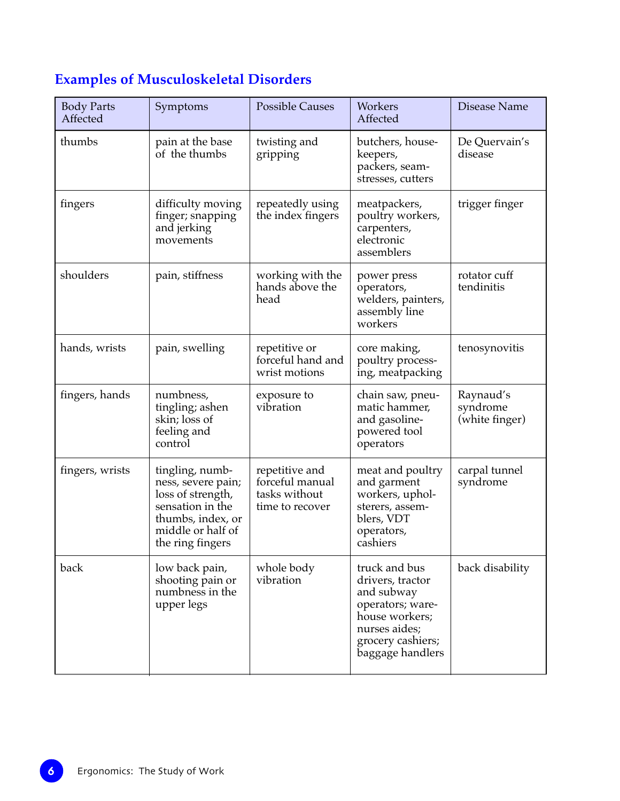# **Examples of Musculoskeletal Disorders**

| <b>Body Parts</b><br>Affected | Symptoms                                                                                                                                     | <b>Possible Causes</b>                                                | Workers<br>Affected                                                                                                                             | Disease Name                            |
|-------------------------------|----------------------------------------------------------------------------------------------------------------------------------------------|-----------------------------------------------------------------------|-------------------------------------------------------------------------------------------------------------------------------------------------|-----------------------------------------|
| thumbs                        | pain at the base<br>of the thumbs                                                                                                            | twisting and<br>gripping                                              | butchers, house-<br>keepers,<br>packers, seam-<br>stresses, cutters                                                                             | De Quervain's<br>disease                |
| fingers                       | difficulty moving<br>finger; snapping<br>and jerking<br>movements                                                                            | repeatedly using<br>the index fingers                                 | meatpackers,<br>poultry workers,<br>carpenters,<br>electronic<br>assemblers                                                                     | trigger finger                          |
| shoulders                     | pain, stiffness                                                                                                                              | working with the<br>hands above the<br>head                           | power press<br>operators,<br>welders, painters,<br>assembly line<br>workers                                                                     | rotator cuff<br>tendinitis              |
| hands, wrists                 | pain, swelling                                                                                                                               | repetitive or<br>forceful hand and<br>wrist motions                   | core making,<br>poultry process-<br>ing, meatpacking                                                                                            | tenosynovitis                           |
| fingers, hands                | numbness,<br>tingling; ashen<br>skin; loss of<br>feeling and<br>control                                                                      | exposure to<br>vibration                                              | chain saw, pneu-<br>matic hammer,<br>and gasoline-<br>powered tool<br>operators                                                                 | Raynaud's<br>syndrome<br>(white finger) |
| fingers, wrists               | tingling, numb-<br>ness, severe pain;<br>loss of strength,<br>sensation in the<br>thumbs, index, or<br>middle or half of<br>the ring fingers | repetitive and<br>forceful manual<br>tasks without<br>time to recover | meat and poultry<br>and garment<br>workers, uphol-<br>sterers, assem-<br>blers, VDT<br>operators,<br>cashiers                                   | carpal tunnel<br>syndrome               |
| back                          | low back pain,<br>shooting pain or<br>numbness in the<br>upper legs                                                                          | whole body<br>vibration                                               | truck and bus<br>drivers, tractor<br>and subway<br>operators; ware-<br>house workers;<br>nurses aides;<br>grocery cashiers;<br>baggage handlers | back disability                         |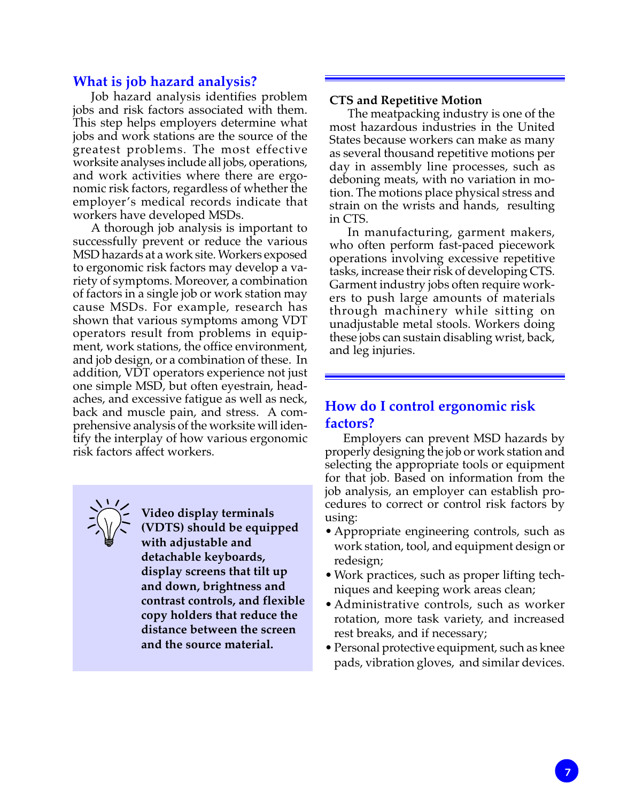#### **What is job hazard analysis?**

Job hazard analysis identifies problem jobs and risk factors associated with them. This step helps employers determine what jobs and work stations are the source of the greatest problems. The most effective worksite analyses include all jobs, operations, and work activities where there are ergonomic risk factors, regardless of whether the employer's medical records indicate that workers have developed MSDs.

A thorough job analysis is important to successfully prevent or reduce the various MSD hazards at a work site. Workers exposed to ergonomic risk factors may develop a variety of symptoms. Moreover, a combination of factors in a single job or work station may cause MSDs. For example, research has shown that various symptoms among VDT operators result from problems in equipment, work stations, the office environment, and job design, or a combination of these. In addition, VDT operators experience not just one simple MSD, but often eyestrain, headaches, and excessive fatigue as well as neck, back and muscle pain, and stress. A comprehensive analysis of the worksite will identify the interplay of how various ergonomic risk factors affect workers.

**Video display terminals (VDTS) should be equipped with adjustable and detachable keyboards, display screens that tilt up and down, brightness and contrast controls, and flexible copy holders that reduce the distance between the screen and the source material.**

#### **CTS and Repetitive Motion**

The meatpacking industry is one of the most hazardous industries in the United States because workers can make as many as several thousand repetitive motions per day in assembly line processes, such as deboning meats, with no variation in motion. The motions place physical stress and strain on the wrists and hands, resulting in CTS.

In manufacturing, garment makers, who often perform fast-paced piecework operations involving excessive repetitive tasks, increase their risk of developing CTS. Garment industry jobs often require workers to push large amounts of materials through machinery while sitting on unadjustable metal stools. Workers doing these jobs can sustain disabling wrist, back, and leg injuries.

# **How do I control ergonomic risk factors?**

Employers can prevent MSD hazards by properly designing the job or work station and selecting the appropriate tools or equipment for that job. Based on information from the job analysis, an employer can establish procedures to correct or control risk factors by using:

- Appropriate engineering controls, such as work station, tool, and equipment design or redesign;
- Work practices, such as proper lifting techniques and keeping work areas clean;
- Administrative controls, such as worker rotation, more task variety, and increased rest breaks, and if necessary;
- Personal protective equipment, such as knee pads, vibration gloves, and similar devices.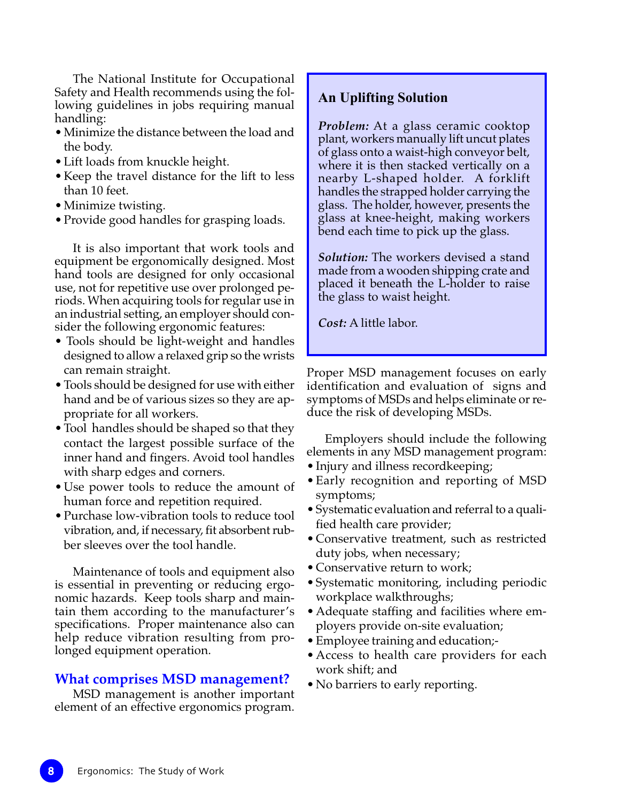The National Institute for Occupational Safety and Health recommends using the following guidelines in jobs requiring manual handling:

- Minimize the distance between the load and the body.
- Lift loads from knuckle height.
- Keep the travel distance for the lift to less than 10 feet.
- Minimize twisting.
- Provide good handles for grasping loads.

It is also important that work tools and equipment be ergonomically designed. Most hand tools are designed for only occasional use, not for repetitive use over prolonged periods. When acquiring tools for regular use in an industrial setting, an employer should consider the following ergonomic features:

- Tools should be light-weight and handles designed to allow a relaxed grip so the wrists can remain straight.
- Tools should be designed for use with either hand and be of various sizes so they are appropriate for all workers.
- Tool handles should be shaped so that they contact the largest possible surface of the inner hand and fingers. Avoid tool handles with sharp edges and corners.
- Use power tools to reduce the amount of human force and repetition required.
- Purchase low-vibration tools to reduce tool vibration, and, if necessary, fit absorbent rubber sleeves over the tool handle.

Maintenance of tools and equipment also is essential in preventing or reducing ergonomic hazards. Keep tools sharp and maintain them according to the manufacturer's specifications. Proper maintenance also can help reduce vibration resulting from prolonged equipment operation.

#### **What comprises MSD management?**

MSD management is another important element of an effective ergonomics program.

#### **An Uplifting Solution**

*Problem:* At a glass ceramic cooktop plant, workers manually lift uncut plates of glass onto a waist-high conveyor belt, where it is then stacked vertically on a nearby L-shaped holder. A forklift handles the strapped holder carrying the glass. The holder, however, presents the glass at knee-height, making workers bend each time to pick up the glass.

*Solution:* The workers devised a stand made from a wooden shipping crate and placed it beneath the L-holder to raise the glass to waist height.

*Cost:* A little labor.

Proper MSD management focuses on early identification and evaluation of signs and symptoms of MSDs and helps eliminate or reduce the risk of developing MSDs.

Employers should include the following elements in any MSD management program:

- Injury and illness recordkeeping;
- Early recognition and reporting of MSD symptoms;
- Systematic evaluation and referral to a qualified health care provider;
- Conservative treatment, such as restricted duty jobs, when necessary;
- Conservative return to work;
- Systematic monitoring, including periodic workplace walkthroughs;
- Adequate staffing and facilities where employers provide on-site evaluation;
- Employee training and education;-
- Access to health care providers for each work shift; and
- No barriers to early reporting.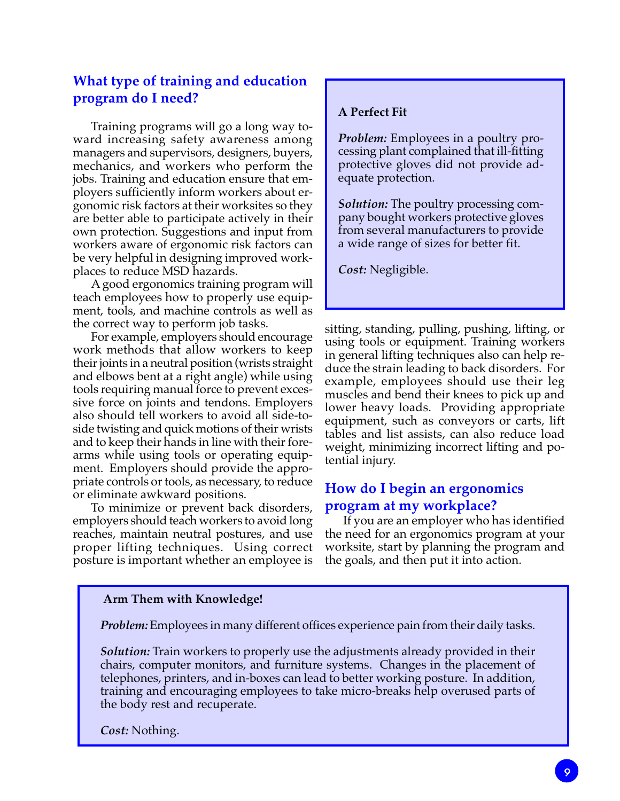# **What type of training and education program do I need?**

Training programs will go a long way toward increasing safety awareness among managers and supervisors, designers, buyers, mechanics, and workers who perform the jobs. Training and education ensure that employers sufficiently inform workers about ergonomic risk factors at their worksites so they are better able to participate actively in their own protection. Suggestions and input from workers aware of ergonomic risk factors can be very helpful in designing improved workplaces to reduce MSD hazards.

A good ergonomics training program will teach employees how to properly use equipment, tools, and machine controls as well as the correct way to perform job tasks.

For example, employers should encourage work methods that allow workers to keep their joints in a neutral position (wrists straight and elbows bent at a right angle) while using tools requiring manual force to prevent excessive force on joints and tendons. Employers also should tell workers to avoid all side-toside twisting and quick motions of their wrists and to keep their hands in line with their forearms while using tools or operating equipment. Employers should provide the appropriate controls or tools, as necessary, to reduce or eliminate awkward positions.

To minimize or prevent back disorders, employers should teach workers to avoid long reaches, maintain neutral postures, and use proper lifting techniques. Using correct posture is important whether an employee is

#### **A Perfect Fit**

*Problem:* Employees in a poultry processing plant complained that ill-fitting protective gloves did not provide adequate protection.

*Solution:* The poultry processing company bought workers protective gloves from several manufacturers to provide a wide range of sizes for better fit.

*Cost:* Negligible.

sitting, standing, pulling, pushing, lifting, or using tools or equipment. Training workers in general lifting techniques also can help reduce the strain leading to back disorders. For example, employees should use their leg muscles and bend their knees to pick up and lower heavy loads. Providing appropriate equipment, such as conveyors or carts, lift tables and list assists, can also reduce load weight, minimizing incorrect lifting and potential injury.

# **How do I begin an ergonomics program at my workplace?**

If you are an employer who has identified the need for an ergonomics program at your worksite, start by planning the program and the goals, and then put it into action.

#### **Arm Them with Knowledge!**

*Problem:* Employees in many different offices experience pain from their daily tasks.

*Solution:* Train workers to properly use the adjustments already provided in their chairs, computer monitors, and furniture systems. Changes in the placement of telephones, printers, and in-boxes can lead to better working posture. In addition, training and encouraging employees to take micro-breaks help overused parts of the body rest and recuperate.

*Cost:* Nothing.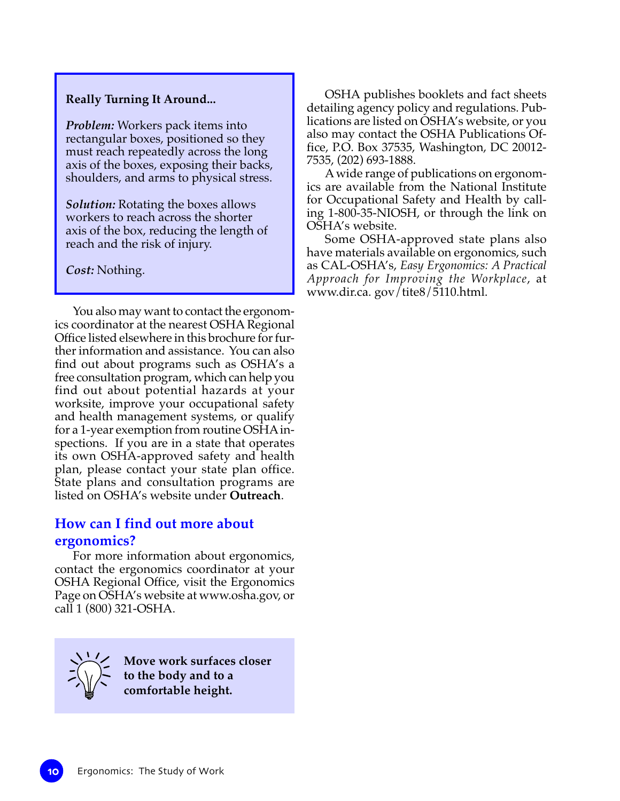#### **Really Turning It Around...**

*Problem:* Workers pack items into rectangular boxes, positioned so they must reach repeatedly across the long axis of the boxes, exposing their backs, shoulders, and arms to physical stress.

*Solution:* Rotating the boxes allows workers to reach across the shorter axis of the box, reducing the length of reach and the risk of injury.

*Cost:* Nothing.

You also may want to contact the ergonomics coordinator at the nearest OSHA Regional Office listed elsewhere in this brochure for further information and assistance. You can also find out about programs such as OSHA's a free consultation program, which can help you find out about potential hazards at your worksite, improve your occupational safety and health management systems, or qualify for a 1-year exemption from routine OSHA inspections. If you are in a state that operates its own OSHA-approved safety and health plan, please contact your state plan office. State plans and consultation programs are listed on OSHA's website under **Outreach**.

# **How can I find out more about ergonomics?**

For more information about ergonomics, contact the ergonomics coordinator at your OSHA Regional Office, visit the Ergonomics Page on OSHA's website at www.osha.gov, or call 1 (800) 321-OSHA.



**Move work surfaces closer to the body and to a comfortable height.**

OSHA publishes booklets and fact sheets detailing agency policy and regulations. Publications are listed on OSHA's website, or you also may contact the OSHA Publications Office, P.O. Box 37535, Washington, DC 20012- 7535, (202) 693-1888.

A wide range of publications on ergonomics are available from the National Institute for Occupational Safety and Health by calling 1-800-35-NIOSH, or through the link on OSHA's website.

Some OSHA-approved state plans also have materials available on ergonomics, such as CAL-OSHA's, *Easy Ergonomics: A Practical Approach for Improving the Workplace*, at www.dir.ca. gov/tite8/5110.html.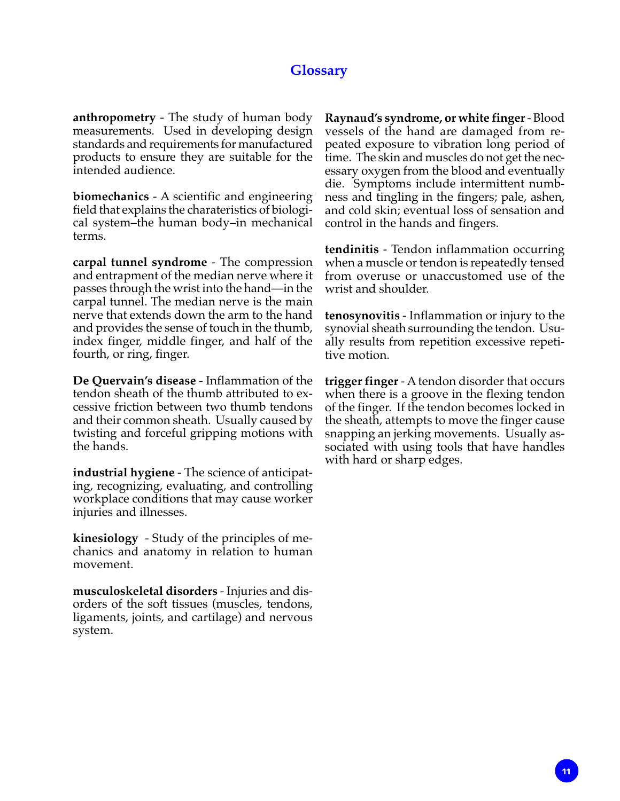## **Glossary**

**anthropometry** - The study of human body measurements. Used in developing design standards and requirements for manufactured products to ensure they are suitable for the intended audience.

**biomechanics** - A scientific and engineering field that explains the charateristics of biological system–the human body–in mechanical terms.

**carpal tunnel syndrome** - The compression and entrapment of the median nerve where it passes through the wrist into the hand—in the carpal tunnel. The median nerve is the main nerve that extends down the arm to the hand and provides the sense of touch in the thumb, index finger, middle finger, and half of the fourth, or ring, finger.

**De Quervain's disease** - Inflammation of the tendon sheath of the thumb attributed to excessive friction between two thumb tendons and their common sheath. Usually caused by twisting and forceful gripping motions with the hands.

**industrial hygiene** - The science of anticipating, recognizing, evaluating, and controlling workplace conditions that may cause worker injuries and illnesses.

**kinesiology** - Study of the principles of mechanics and anatomy in relation to human movement.

**musculoskeletal disorders** - Injuries and disorders of the soft tissues (muscles, tendons, ligaments, joints, and cartilage) and nervous system.

**Raynaud's syndrome, or white finger** - Blood vessels of the hand are damaged from repeated exposure to vibration long period of time. The skin and muscles do not get the necessary oxygen from the blood and eventually die. Symptoms include intermittent numbness and tingling in the fingers; pale, ashen, and cold skin; eventual loss of sensation and control in the hands and fingers.

**tendinitis** - Tendon inflammation occurring when a muscle or tendon is repeatedly tensed from overuse or unaccustomed use of the wrist and shoulder.

**tenosynovitis** - Inflammation or injury to the synovial sheath surrounding the tendon. Usually results from repetition excessive repetitive motion.

**trigger finger** - A tendon disorder that occurs when there is a groove in the flexing tendon of the finger. If the tendon becomes locked in the sheath, attempts to move the finger cause snapping an jerking movements. Usually associated with using tools that have handles with hard or sharp edges.